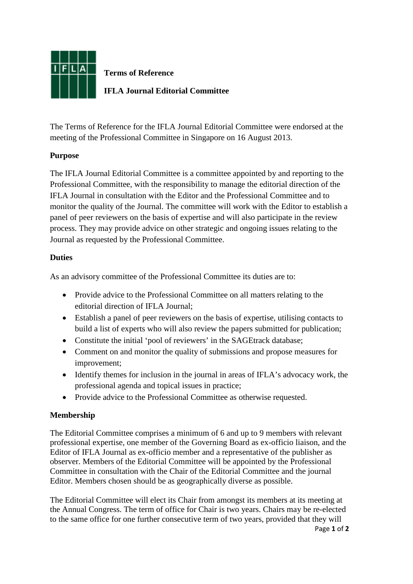

**Terms of Reference**

**IFLA Journal Editorial Committee**

The Terms of Reference for the IFLA Journal Editorial Committee were endorsed at the meeting of the Professional Committee in Singapore on 16 August 2013.

# **Purpose**

The IFLA Journal Editorial Committee is a committee appointed by and reporting to the Professional Committee, with the responsibility to manage the editorial direction of the IFLA Journal in consultation with the Editor and the Professional Committee and to monitor the quality of the Journal. The committee will work with the Editor to establish a panel of peer reviewers on the basis of expertise and will also participate in the review process. They may provide advice on other strategic and ongoing issues relating to the Journal as requested by the Professional Committee.

# **Duties**

As an advisory committee of the Professional Committee its duties are to:

- Provide advice to the Professional Committee on all matters relating to the editorial direction of IFLA Journal;
- Establish a panel of peer reviewers on the basis of expertise, utilising contacts to build a list of experts who will also review the papers submitted for publication;
- Constitute the initial 'pool of reviewers' in the SAGE track database;
- Comment on and monitor the quality of submissions and propose measures for improvement;
- Identify themes for inclusion in the journal in areas of IFLA's advocacy work, the professional agenda and topical issues in practice;
- Provide advice to the Professional Committee as otherwise requested.

# **Membership**

The Editorial Committee comprises a minimum of 6 and up to 9 members with relevant professional expertise, one member of the Governing Board as ex-officio liaison, and the Editor of IFLA Journal as ex-officio member and a representative of the publisher as observer. Members of the Editorial Committee will be appointed by the Professional Committee in consultation with the Chair of the Editorial Committee and the journal Editor. Members chosen should be as geographically diverse as possible.

The Editorial Committee will elect its Chair from amongst its members at its meeting at the Annual Congress. The term of office for Chair is two years. Chairs may be re-elected to the same office for one further consecutive term of two years, provided that they will